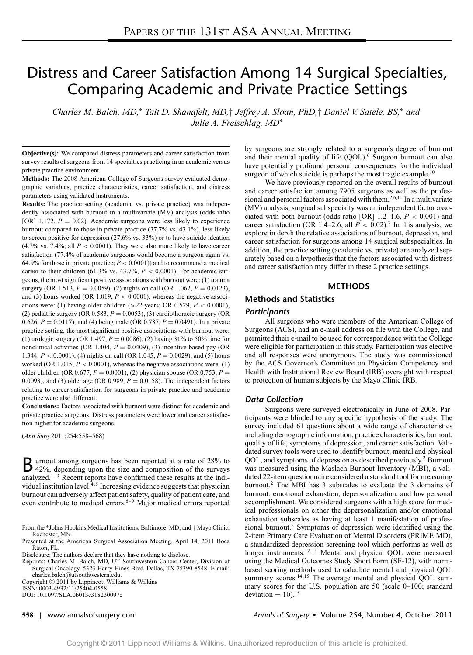# Distress and Career Satisfaction Among 14 Surgical Specialties, Comparing Academic and Private Practice Settings

*Charles M. Balch, MD,*<sup>∗</sup> *Tait D. Shanafelt, MD,*† *Jeffrey A. Sloan, PhD,*† *Daniel V. Satele, BS,*<sup>∗</sup> *and Julie A. Freischlag, MD*<sup>∗</sup>

**Objective(s):** We compared distress parameters and career satisfaction from survey results of surgeons from 14 specialties practicing in an academic versus private practice environment.

**Methods:** The 2008 American College of Surgeons survey evaluated demographic variables, practice characteristics, career satisfaction, and distress parameters using validated instruments.

**Results:** The practice setting (academic vs. private practice) was independently associated with burnout in a multivariate (MV) analysis (odds ratio [OR] 1.172,  $P = 0.02$ ). Academic surgeons were less likely to experience burnout compared to those in private practice (37.7% vs. 43.1%), less likely to screen positive for depression (27.6% vs. 33%) or to have suicide ideation (4.7% vs. 7.4%; all  $P < 0.0001$ ). They were also more likely to have career satisfaction (77.4% of academic surgeons would become a surgeon again vs. 64.9% for those in private practice;  $P < 0.0001$ ) and to recommend a medical career to their children (61.3% vs.  $43.7\%$ ,  $P < 0.0001$ ). For academic surgeons, the most significant positive associations with burnout were: (1) trauma surgery (OR 1.513,  $P = 0.0059$ ), (2) nights on call (OR 1.062,  $P = 0.0123$ ), and (3) hours worked (OR 1.019,  $P < 0.0001$ ), whereas the negative associations were: (1) having older children ( $>$ 22 years; OR 0.529,  $P < 0.0001$ ), (2) pediatric surgery (OR  $0.583$ ,  $P = 0.0053$ ), (3) cardiothoracic surgery (OR 0.626,  $P = 0.0117$ ), and (4) being male (OR 0.787,  $P = 0.0491$ ). In a private practice setting, the most significant positive associations with burnout were: (1) urologic surgery (OR 1.497, *P* = 0.0086), (2) having 31% to 50% time for nonclinical activities (OR 1.404,  $P = 0.0409$ ), (3) incentive based pay (OR 1.344,  $P < 0.0001$ ), (4) nights on call (OR 1.045,  $P = 0.0029$ ), and (5) hours worked (OR  $1.015$ ,  $P < 0.0001$ ), whereas the negative associations were: (1) older children (OR 0.677,  $P = 0.0001$ ), (2) physician spouse (OR 0.753,  $P =$ 0.0093), and (3) older age (OR 0.989,  $P = 0.0158$ ). The independent factors relating to career satisfaction for surgeons in private practice and academic practice were also different.

**Conclusions:** Factors associated with burnout were distinct for academic and private practice surgeons. Distress parameters were lower and career satisfaction higher for academic surgeons.

(*Ann Surg* 2011;254:558–568)

**B**urnout among surgeons has been reported at a rate of 28% to 42%, depending upon the size and composition of the surveys analyzed.<sup> $1-3$ </sup> Recent reports have confirmed these results at the individual institution level. $4,5$  Increasing evidence suggests that physician burnout can adversely affect patient safety, quality of patient care, and even contribute to medical errors.<sup>6–9</sup> Major medical errors reported

Copyright <sup>C</sup> 2011 by Lippincott Williams & Wilkins

ISSN: 0003-4932/11/25404-0558

DOI: 10.1097/SLA.0b013e318230097e

**558** | www.annals of surgery.com

by surgeons are strongly related to a surgeon's degree of burnout and their mental quality of life (QOL).<sup>6</sup> Surgeon burnout can also have potentially profound personal consequences for the individual surgeon of which suicide is perhaps the most tragic example.<sup>10</sup>

We have previously reported on the overall results of burnout and career satisfaction among 7905 surgeons as well as the professional and personal factors associated with them.<sup>2,6,11</sup> In a multivariate (MV) analysis, surgical subspecialty was an independent factor associated with both burnout (odds ratio [OR] 1.2–1.6, *P* < 0.001) and career satisfaction (OR 1.4–2.6, all  $P < 0.02$ ).<sup>2</sup> In this analysis, we explore in depth the relative associations of burnout, depression, and career satisfaction for surgeons among 14 surgical subspecialties. In addition, the practice setting (academic vs. private) are analyzed separately based on a hypothesis that the factors associated with distress and career satisfaction may differ in these 2 practice settings.

# **METHODS**

# **Methods and Statistics**

# *Participants*

All surgeons who were members of the American College of Surgeons (ACS), had an e-mail address on file with the College, and permitted their e-mail to be used for correspondence with the College were eligible for participation in this study. Participation was elective and all responses were anonymous. The study was commissioned by the ACS Governor's Committee on Physician Competency and Health with Institutional Review Board (IRB) oversight with respect to protection of human subjects by the Mayo Clinic IRB.

# *Data Collection*

Surgeons were surveyed electronically in June of 2008. Participants were blinded to any specific hypothesis of the study. The survey included 61 questions about a wide range of characteristics including demographic information, practice characteristics, burnout, quality of life, symptoms of depression, and career satisfaction. Validated survey tools were used to identify burnout, mental and physical QOL, and symptoms of depression as described previously.2 Burnout was measured using the Maslach Burnout Inventory (MBI), a validated 22-item questionnaire considered a standard tool for measuring burnout.<sup>2</sup> The MBI has 3 subscales to evaluate the 3 domains of burnout: emotional exhaustion, depersonalization, and low personal accomplishment. We considered surgeons with a high score for medical professionals on either the depersonalization and/or emotional exhaustion subscales as having at least 1 manifestation of professional burnout.<sup>2</sup> Symptoms of depression were identified using the 2-item Primary Care Evaluation of Mental Disorders (PRIME MD), a standardized depression screening tool which performs as well as longer instruments.<sup>12,13</sup> Mental and physical QOL were measured using the Medical Outcomes Study Short Form (SF-12), with normbased scoring methods used to calculate mental and physical QOL summary scores.<sup>14,15</sup> The average mental and physical QOL summary scores for the U.S. population are 50 (scale 0–100; standard deviation =  $10$ ).<sup>15</sup>

Annals of Surgery • Volume 254, Number 4, October 2011

From the \*Johns Hopkins Medical Institutions, Baltimore, MD; and † Mayo Clinic, Rochester, MN.

Presented at the American Surgical Association Meeting, April 14, 2011 Boca Raton, FL.

Disclosure: The authors declare that they have nothing to disclose.

Reprints: Charles M. Balch, MD, UT Southwestern Cancer Center, Division of Surgical Oncology, 5323 Harry Hines Blvd, Dallas, TX 75390-8548. E-mail: charles.balch@utsouthwestern.edu.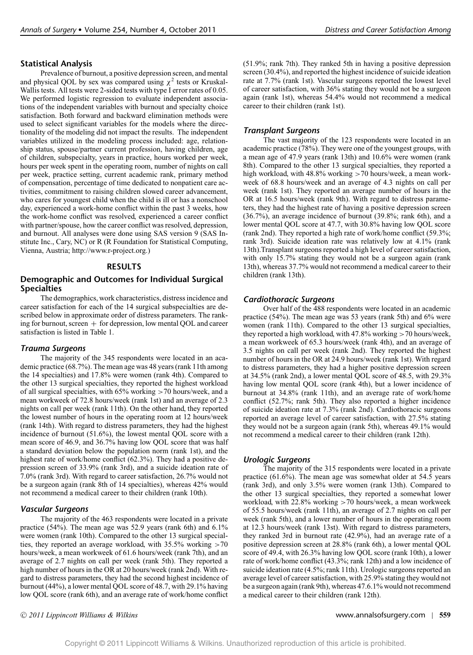Prevalence of burnout, a positive depression screen, and mental and physical QOL by sex was compared using  $\chi^2$  tests or Kruskal-Wallis tests. All tests were 2-sided tests with type I error rates of 0.05. We performed logistic regression to evaluate independent associations of the independent variables with burnout and specialty choice satisfaction. Both forward and backward elimination methods were used to select significant variables for the models where the directionality of the modeling did not impact the results. The independent variables utilized in the modeling process included: age, relationship status, spouse/partner current profession, having children, age of children, subspecialty, years in practice, hours worked per week, hours per week spent in the operating room, number of nights on call per week, practice setting, current academic rank, primary method of compensation, percentage of time dedicated to nonpatient care activities, commitment to raising children slowed career advancement, who cares for youngest child when the child is ill or has a nonschool day, experienced a work-home conflict within the past 3 weeks, how the work-home conflict was resolved, experienced a career conflict with partner/spouse, how the career conflict was resolved, depression, and burnout. All analyses were done using SAS version 9 (SAS Institute Inc., Cary, NC) or R (R Foundation for Statistical Computing, Vienna, Austria; http://www.r-project.org.)

# **RESULTS**

# **Demographic and Outcomes for Individual Surgical Specialties**

The demographics, work characteristics, distress incidence and career satisfaction for each of the 14 surgical subspecialties are described below in approximate order of distress parameters. The ranking for burnout, screen  $+$  for depression, low mental QOL and career satisfaction is listed in Table 1.

# *Trauma Surgeons*

The majority of the 345 respondents were located in an academic practice (68.7%). The mean age was 48 years (rank 11th among the 14 specialties) and 17.8% were women (rank 4th). Compared to the other 13 surgical specialties, they reported the highest workload of all surgical specialties, with 65% working >70 hours/week, and a mean workweek of 72.8 hours/week (rank 1st) and an average of 2.3 nights on call per week (rank 11th). On the other hand, they reported the lowest number of hours in the operating room at 12 hours/week (rank 14th). With regard to distress parameters, they had the highest incidence of burnout (51.6%), the lowest mental QOL score with a mean score of 46.9, and 36.7% having low QOL score that was half a standard deviation below the population norm (rank 1st), and the highest rate of work/home conflict (62.3%). They had a positive depression screen of 33.9% (rank 3rd), and a suicide ideation rate of 7.0% (rank 3rd). With regard to career satisfaction, 26.7% would not be a surgeon again (rank 8th of 14 specialties), whereas 42% would not recommend a medical career to their children (rank 10th).

# *Vascular Surgeons*

The majority of the 463 respondents were located in a private practice (54%). The mean age was 52.9 years (rank 6th) and 6.1% were women (rank 10th). Compared to the other 13 surgical specialties, they reported an average workload, with 35.5% working >70 hours/week, a mean workweek of 61.6 hours/week (rank 7th), and an average of 2.7 nights on call per week (rank 5th). They reported a high number of hours in the OR at 20 hours/week (rank 2nd). With regard to distress parameters, they had the second highest incidence of burnout (44%), a lower mental QOL score of 48.7, with 29.1% having low QOL score (rank 6th), and an average rate of work/home conflict

(51.9%; rank 7th). They ranked 5th in having a positive depression screen (30.4%), and reported the highest incidence of suicide ideation rate at 7.7% (rank 1st). Vascular surgeons reported the lowest level of career satisfaction, with 36% stating they would not be a surgeon again (rank 1st), whereas 54.4% would not recommend a medical career to their children (rank 1st).

#### *Transplant Surgeons*

The vast majority of the 123 respondents were located in an academic practice (78%). They were one of the youngest groups, with a mean age of 47.9 years (rank 13th) and 10.6% were women (rank 8th). Compared to the other 13 surgical specialties, they reported a high workload, with 48.8% working >70 hours/week, a mean workweek of 68.8 hours/week and an average of 4.3 nights on call per week (rank 1st). They reported an average number of hours in the OR at 16.5 hours/week (rank 9th). With regard to distress parameters, they had the highest rate of having a positive depression screen (36.7%), an average incidence of burnout (39.8%; rank 6th), and a lower mental QOL score at 47.7, with 30.8% having low QOL score (rank 2nd). They reported a high rate of work/home conflict (59.3%; rank 3rd). Suicide ideation rate was relatively low at 4.1% (rank 13th).Transplant surgeons reported a high level of career satisfaction, with only 15.7% stating they would not be a surgeon again (rank 13th), whereas 37.7% would not recommend a medical career to their children (rank 13th).

#### *Cardiothoracic Surgeons*

Over half of the 488 respondents were located in an academic practice (54%). The mean age was 53 years (rank 5th) and 6% were women (rank 11th). Compared to the other 13 surgical specialties, they reported a high workload, with 47.8% working >70 hours/week, a mean workweek of 65.3 hours/week (rank 4th), and an average of 3.5 nights on call per week (rank 2nd). They reported the highest number of hours in the OR at 24.9 hours/week (rank 1st). With regard to distress parameters, they had a higher positive depression screen at 34.5% (rank 2nd), a lower mental QOL score of 48.5, with 29.3% having low mental QOL score (rank 4th), but a lower incidence of burnout at 34.8% (rank 11th), and an average rate of work/home conflict (52.7%; rank 5th). They also reported a higher incidence of suicide ideation rate at 7.3% (rank 2nd). Cardiothoracic surgeons reported an average level of career satisfaction, with 27.5% stating they would not be a surgeon again (rank 5th), whereas 49.1% would not recommend a medical career to their children (rank 12th).

# *Urologic Surgeons*

The majority of the 315 respondents were located in a private practice (61.6%). The mean age was somewhat older at 54.5 years (rank 3rd), and only 3.5% were women (rank 13th). Compared to the other 13 surgical specialties, they reported a somewhat lower workload, with 22.8% working >70 hours/week, a mean workweek of 55.5 hours/week (rank 11th), an average of 2.7 nights on call per week (rank 5th), and a lower number of hours in the operating room at 12.3 hours/week (rank 13st). With regard to distress parameters, they ranked 3rd in burnout rate (42.9%), had an average rate of a positive depression screen at 28.8% (rank 6th), a lower mental QOL score of 49.4, with 26.3% having low QOL score (rank 10th), a lower rate of work/home conflict (43.3%; rank 12th) and a low incidence of suicide ideation rate (4.5%; rank 11th). Urologic surgeons reported an average level of career satisfaction, with 25.9% stating they would not be a surgeon again (rank 9th), whereas 47.6.1% would not recommend a medical career to their children (rank 12th).

<sup>C</sup> *2011 Lippincott Williams & Wilkins* www.annalsofsurgery.com | **559**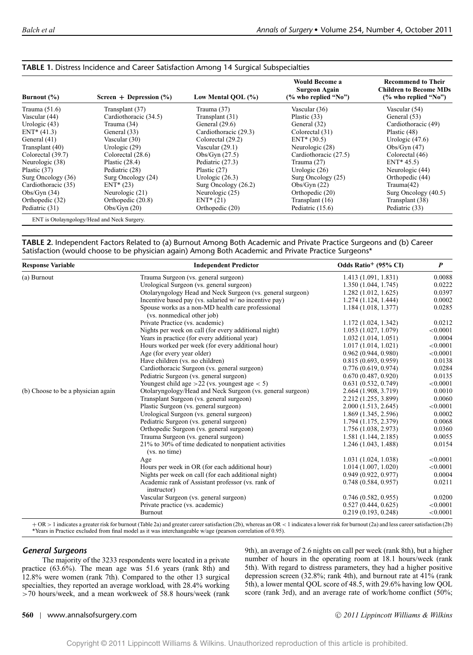| Burnout $(\% )$     | Screen $+$ Depression $(\% )$               | Low Mental OOL (%)     | Would Become a<br><b>Surgeon Again</b><br>$(\%$ who replied "No") | <b>Recommend to Their</b><br><b>Children to Become MDs</b><br>$(\%$ who replied "No") |
|---------------------|---------------------------------------------|------------------------|-------------------------------------------------------------------|---------------------------------------------------------------------------------------|
| Trauma $(51.6)$     | Transplant (37)                             | Trauma (37)            | Vascular (36)                                                     | Vascular (54)                                                                         |
| Vascular (44)       | Cardiothoracic (34.5)                       | Transplant (31)        | Plastic (33)                                                      | General (53)                                                                          |
| Urologic $(43)$     | Trauma (34)                                 | General $(29.6)$       | General (32)                                                      | Cardiothoracic (49)                                                                   |
| $ENT* (41.3)$       | General (33)                                | Cardiothoracic (29.3)  | Colorectal (31)                                                   | Plastic (48)                                                                          |
| General (41)        | Vascular (30)                               | Colorectal (29.2)      | $ENT* (30.5)$                                                     | Urologic $(47.6)$                                                                     |
| Transplant (40)     | Urologic $(29)$                             | Vascular $(29.1)$      | Neurologic (28)                                                   | Obs/Gyn(47)                                                                           |
| Colorectal (39.7)   | Colorectal (28.6)                           | Obs/Gyn(27.5)          | Cardiothoracic (27.5)                                             | Colorectal (46)                                                                       |
| Neurologic (38)     | Plastic $(28.4)$                            | Pediatric (27.3)       | Trauma (27)                                                       | $ENT* 45.5$                                                                           |
| Plastic (37)        | Pediatric (28)                              | Plastic $(27)$         | Urologic $(26)$                                                   | Neurologic (44)                                                                       |
| Surg Oncology (36)  | Surg Oncology (24)                          | Urologic $(26.3)$      | Surg Oncology (25)                                                | Orthopedic (44)                                                                       |
| Cardiothoracic (35) | $ENT* (23)$                                 | Surg Oncology $(26.2)$ | Obs/Gyn(22)                                                       | Trauma(42)                                                                            |
| Obs/Gyn(34)         | Neurologic $(21)$                           | Neurologic (25)        | Orthopedic (20)                                                   | Surg Oncology (40.5)                                                                  |
| Orthopedic (32)     | Orthopedic (20.8)                           | $ENT* (21)$            | Transplant (16)                                                   | Transplant (38)                                                                       |
| Pediatric (31)      | Obs/Gyn(20)                                 | Orthopedic (20)        | Pediatric (15.6)                                                  | Pediatric (33)                                                                        |
|                     | ENT is Otolayngology/Head and Neck Surgery. |                        |                                                                   |                                                                                       |

# **TABLE 1.** Distress Incidence and Career Satisfaction Among 14 Surgical Subspecialties

**TABLE 2.** Independent Factors Related to (a) Burnout Among Both Academic and Private Practice Surgeons and (b) Career Satisfaction (would choose to be physician again) Among Both Academic and Private Practice Surgeons\*

| <b>Response Variable</b>           | <b>Independent Predictor</b>                                                    | Odds Ratio <sup>+</sup> $(95\%$ CI) | $\boldsymbol{P}$ |
|------------------------------------|---------------------------------------------------------------------------------|-------------------------------------|------------------|
| (a) Burnout                        | Trauma Surgeon (vs. general surgeon)                                            | 1.413(1.091, 1.831)                 | 0.0088           |
|                                    | Urological Surgeon (vs. general surgeon)                                        | 1.350(1.044, 1.745)                 | 0.0222           |
|                                    | Otolaryngology Head and Neck Surgeon (vs. general surgeon)                      | 1.282(1.012, 1.625)                 | 0.0397           |
|                                    | Incentive based pay (vs. salaried w/no incentive pay)                           | $1,274$ $(1.124, 1.444)$            | 0.0002           |
|                                    | Spouse works as a non-MD health care professional<br>(vs. nonmedical other job) | 1.184(1.018, 1.377)                 | 0.0285           |
|                                    | Private Practice (vs. academic)                                                 | 1.172(1.024, 1.342)                 | 0.0212           |
|                                    | Nights per week on call (for every additional night)                            | 1.053(1.027, 1.079)                 | < 0.0001         |
|                                    | Years in practice (for every additional year)                                   | 1.032(1.014, 1.051)                 | 0.0004           |
|                                    | Hours worked per week (for every additional hour)                               | 1.017(1.014, 1.021)                 | < 0.0001         |
|                                    | Age (for every year older)                                                      | 0.962(0.944, 0.980)                 | < 0.0001         |
|                                    | Have children (vs. no children)                                                 | 0.815(0.693, 0.959)                 | 0.0138           |
|                                    | Cardiothoracic Surgeon (vs. general surgeon)                                    | 0.776(0.619, 0.974)                 | 0.0284           |
|                                    | Pediatric Surgeon (vs. general surgeon)                                         | 0.670(0.487, 0.920)                 | 0.0135           |
|                                    | Youngest child age $>22$ (vs. youngest age $< 5$ )                              | 0.631(0.532, 0.749)                 | < 0.0001         |
| (b) Choose to be a physician again | Otolaryngology/Head and Neck Surgeon (vs. general surgeon)                      | 2.664 (1.908, 3.719)                | 0.0010           |
|                                    | Transplant Surgeon (vs. general surgeon)                                        | 2.212 (1.255, 3.899)                | 0.0060           |
|                                    | Plastic Surgeon (vs. general surgeon)                                           | 2.000(1.513, 2.645)                 | < 0.0001         |
|                                    | Urological Surgeon (vs. general surgeon)                                        | 1.869 (1.345, 2.596)                | 0.0002           |
|                                    | Pediatric Surgeon (vs. general surgeon)                                         | 1.794 (1.175, 2.379)                | 0.0068           |
|                                    | Orthopedic Surgeon (vs. general surgeon)                                        | 1.756 (1.038, 2.973)                | 0.0360           |
|                                    | Trauma Surgeon (vs. general surgeon)                                            | 1.581(1.144, 2.185)                 | 0.0055           |
|                                    | 21% to 30% of time dedicated to nonpatient activities<br>(vs. no time)          | 1.246 (1.043, 1.488)                | 0.0154           |
|                                    | Age                                                                             | 1.031(1.024, 1.038)                 | < 0.0001         |
|                                    | Hours per week in OR (for each additional hour)                                 | 1.014(1.007, 1.020)                 | < 0.0001         |
|                                    | Nights per week on call (for each additional night)                             | 0.949(0.922, 0.977)                 | 0.0004           |
|                                    | Academic rank of Assistant professor (vs. rank of<br>instructor)                | 0.748(0.584, 0.957)                 | 0.0211           |
|                                    | Vascular Surgeon (vs. general surgeon)                                          | 0.746(0.582, 0.955)                 | 0.0200           |
|                                    | Private practice (vs. academic)                                                 | 0.527(0.444, 0.625)                 | < 0.0001         |
|                                    | Burnout                                                                         | 0.219(0.193, 0.248)                 | < 0.0001         |

 $+$  OR  $>1$  indicates a greater risk for burnout (Table 2a) and greater career satisfaction (2b), whereas an OR  $< 1$  indicates a lower risk for burnout (2a) and less career satisfaction (2b) \*Years in Practice excluded from final model as it was interchangeable w/age (pearson correlation of 0.95).

# *General Surgeons*

The majority of the 3233 respondents were located in a private practice (63.6%). The mean age was 51.6 years (rank 8th) and 12.8% were women (rank 7th). Compared to the other 13 surgical specialties, they reported an average workload, with 28.4% working >70 hours/week, and a mean workweek of 58.8 hours/week (rank

9th), an average of 2.6 nights on call per week (rank 8th), but a higher number of hours in the operating room at 18.1 hours/week (rank 5th). With regard to distress parameters, they had a higher positive depression screen (32.8%; rank 4th), and burnout rate at 41% (rank 5th), a lower mental QOL score of 48.5, with 29.6% having low QOL score (rank 3rd), and an average rate of work/home conflict (50%;

**560** | www.annalsofsurgery.com <sup>C</sup> *2011 Lippincott Williams & Wilkins*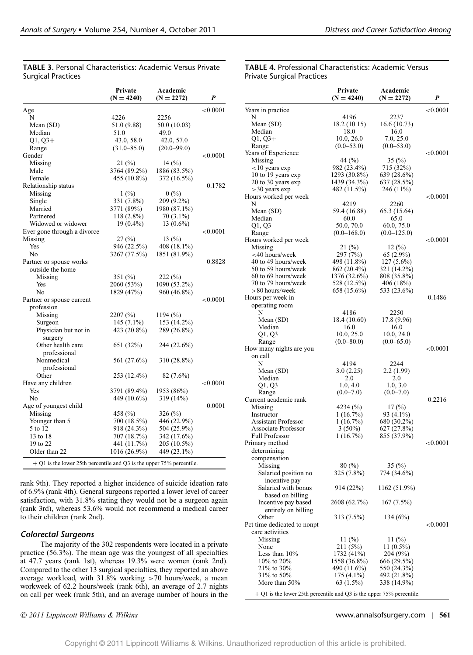|                                                                         | Private<br>$(N = 4240)$  | Academic<br>$(N = 2272)$ | P           |
|-------------------------------------------------------------------------|--------------------------|--------------------------|-------------|
| Age                                                                     |                          |                          | ${<}0.0001$ |
| N                                                                       | 4226                     | 2256                     |             |
| Mean (SD)                                                               | 51.0 (9.88)              | 50.0 (10.03)             |             |
| Median                                                                  | 51.0                     | 49.0                     |             |
| $Q1, Q3+$                                                               | 43.0, 58.0               | 42.0, 57.0               |             |
| Range                                                                   | $(31.0 - 85.0)$          | $(20.0 - 99.0)$          |             |
| Gender                                                                  |                          |                          | ${<}0.0001$ |
| Missing                                                                 | 21(%)                    | 14 $(\%)$                |             |
| Male                                                                    | 3764 (89.2%)             | 1886 (83.5%)             |             |
| Female                                                                  | 455 (10.8%)              | 372 (16.5%)              |             |
| Relationship status                                                     |                          |                          | 0.1782      |
| Missing                                                                 | 1(%)                     | 0(%)                     |             |
| Single                                                                  | 331 (7.8%)               | 209 (9.2%)               |             |
| Married                                                                 | 3771 (89%)               | 1980 (87.1%)             |             |
| Partnered                                                               | 118 (2.8%)               | 70 (3.1%)                |             |
| Widowed or widower                                                      | 19 (0.4%)                | $13(0.6\%)$              |             |
| Ever gone through a divorce                                             |                          |                          | ${<}0.0001$ |
| Missing                                                                 |                          | 13 $(%)$                 |             |
| Yes                                                                     | $27\,(%)$<br>946 (22.5%) | 408 (18.1%)              |             |
| No                                                                      |                          |                          |             |
|                                                                         | 3267 (77.5%)             | 1851 (81.9%)             | 0.8828      |
| Partner or spouse works                                                 |                          |                          |             |
| outside the home                                                        |                          |                          |             |
| Missing                                                                 | 351 $(\% )$              | 222(%)                   |             |
| Yes                                                                     | 2060 (53%)               | 1090 (53.2%)             |             |
| No                                                                      | 1829 (47%)               | 960 (46.8%)              |             |
| Partner or spouse current                                               |                          |                          | ${<}0.0001$ |
| profession                                                              |                          |                          |             |
| Missing                                                                 | 2207(%)                  | 1194(%)                  |             |
| Surgeon                                                                 | 145 (7.1%)               | 153 (14.2%)              |             |
| Physician but not in<br>surgery                                         | 423 (20.8%)              | 289 (26.8%)              |             |
| Other health care<br>professional                                       | 651 (32%)                | 244 (22.6%)              |             |
| Nonmedical<br>professional                                              | 561 (27.6%)              | 310 (28.8%)              |             |
| Other                                                                   | 253 (12.4%)              | 82 (7.6%)                |             |
| Have any children                                                       |                          |                          | ${<}0.0001$ |
| Yes                                                                     | 3791 (89.4%)             | 1953 (86%)               |             |
| No                                                                      | 449 (10.6%)              | 319 (14%)                |             |
| Age of youngest child                                                   |                          |                          | 0.0001      |
| Missing                                                                 | 458 (%)                  | $326\,(%)$               |             |
| Younger than 5                                                          | 700 (18.5%)              | 446 (22.9%)              |             |
| 5 to 12                                                                 | 918 (24.3%)              | 504 (25.9%)              |             |
| 13 to 18                                                                | 707 (18.7%)              | 342 (17.6%)              |             |
| 19 to 22                                                                | 441 (11.7%)              | 205 (10.5%)              |             |
| Older than 22                                                           | 1016 (26.9%)             | 449 (23.1%)              |             |
| $+$ Q1 is the lower 25th percentile and Q3 is the upper 75% percentile. |                          |                          |             |

# **TABLE 3.** Personal Characteristics: Academic Versus Private Surgical Practices

rank 9th). They reported a higher incidence of suicide ideation rate of 6.9% (rank 4th). General surgeons reported a lower level of career satisfaction, with 31.8% stating they would not be a surgeon again (rank 3rd), whereas 53.6% would not recommend a medical career to their children (rank 2nd).

# *Colorectal Surgeons*

The majority of the 302 respondents were located in a private practice (56.3%). The mean age was the youngest of all specialties at 47.7 years (rank 1st), whereas 19.3% were women (rank 2nd). Compared to the other 13 surgical specialties, they reported an above average workload, with 31.8% working >70 hours/week, a mean workweek of 62.2 hours/week (rank 6th), an average of 2.7 nights on call per week (rank 5th), and an average number of hours in the

| <b>TABLE 4. Professional Characteristics: Academic Versus</b> |  |
|---------------------------------------------------------------|--|
| Private Surgical Practices                                    |  |

|                                                                         | Private<br>$(N = 4240)$   | Academic<br>$(N = 2272)$  | P           |
|-------------------------------------------------------------------------|---------------------------|---------------------------|-------------|
| Years in practice                                                       |                           |                           | ${<}0.0001$ |
| N                                                                       | 4196                      | 2237                      |             |
| Mean (SD)                                                               | 18.2 (10.15)              | 16.6 (10.73)              |             |
| Median<br>$Q1, Q3+$                                                     | 18.0<br>10.0, 26.0        | 16.0<br>7.0, 25.0         |             |
| Range                                                                   | $(0.0 - 53.0)$            | $(0.0 - 53.0)$            |             |
| Years of Experience                                                     |                           |                           | ${<}0.0001$ |
| Missing                                                                 | 44 (%)                    | 35(%)                     |             |
| $<$ 10 years exp                                                        | 982 (23.4%)               | 715 (32%)                 |             |
| 10 to 19 years exp                                                      | 1293 (30.8%)              | 639 (28.6%)               |             |
| 20 to 30 years exp                                                      | 1439 (34.3%)              | 637 (28.5%)               |             |
| $>30$ years exp<br>Hours worked per week                                | 482 (11.5%)               | 246 (11%)                 | ${<}0.0001$ |
| N                                                                       | 4219                      | 2260                      |             |
| Mean (SD)                                                               | 59.4 (16.88)              | 65.3 (15.64)              |             |
| Median                                                                  | 60.0                      | 65.0                      |             |
| Q1, Q3                                                                  | 50.0, 70.0                | 60.0, 75.0                |             |
| Range                                                                   | $(0.0 - 168.0)$           | $(0.0 - 125.0)$           |             |
| Hours worked per week                                                   |                           |                           | ${<}0.0001$ |
| Missing<br><40 hours/week                                               | 21(%)                     | 12(%)                     |             |
| 40 to 49 hours/week                                                     | 297 (7%)<br>498 (11.8%)   | 65 (2.9%)<br>$127(5.6\%)$ |             |
| 50 to 59 hours/week                                                     | 862 (20.4%)               | 321 (14.2%)               |             |
| 60 to 69 hours/week                                                     | 1376 (32.6%)              | 808 (35.8%)               |             |
| 70 to 79 hours/week                                                     | 528 (12.5%)               | 406 (18%)                 |             |
| >80 hours/week                                                          | 658 (15.6%)               | 533 (23.6%)               |             |
| Hours per week in                                                       |                           |                           | 0.1486      |
| operating room                                                          |                           |                           |             |
| N                                                                       | 4186                      | 2250                      |             |
| Mean (SD)<br>Median                                                     | 18.4 (10.60)<br>16.0      | 17.8 (9.96)<br>16.0       |             |
| Q1, Q3                                                                  | 10.0, 25.0                | 10.0, 24.0                |             |
| Range                                                                   | $(0.0 - 80.0)$            | $(0.0 - 65.0)$            |             |
| How many nights are you                                                 |                           |                           | ${<}0.0001$ |
| on call                                                                 |                           |                           |             |
| N                                                                       | 4194                      | 2244                      |             |
| Mean (SD)                                                               | 3.0(2.25)                 | 2.2 (1.99)                |             |
| Median                                                                  | 2.0                       | 2.0                       |             |
| Q1, Q3<br>Range                                                         | 1.0, 4.0<br>$(0.0 - 7.0)$ | 1.0, 3.0<br>$(0.0 - 7.0)$ |             |
| Current academic rank                                                   |                           |                           | 0.2216      |
| Missing                                                                 | 4234 (%)                  | 17(%)                     |             |
| Instructor                                                              | 1(16.7%)                  | 93 (4.1%)                 |             |
| <b>Assistant Professor</b>                                              | 1 (16.7%)                 | 680 (30.2%)               |             |
| Associate Professor                                                     | $3(50\%)$                 | 627 (27.8%)               |             |
| Full Professor                                                          | 1(16.7%)                  | 855 (37.9%)               |             |
| Primary method<br>determining                                           |                           |                           | ${<}0.0001$ |
| compensation                                                            |                           |                           |             |
| Missing                                                                 | 80 (%)                    | 35 $(%)$                  |             |
| Salaried position no                                                    | 325 (7.8%)                | 774 (34.6%)               |             |
| incentive pay                                                           |                           |                           |             |
| Salaried with bonus                                                     | 914 (22%)                 | 1162 (51.9%)              |             |
| based on billing                                                        |                           |                           |             |
| Incentive pay based                                                     | 2608 (62.7%)              | $167(7.5\%)$              |             |
| entirely on billing                                                     |                           |                           |             |
| Other                                                                   | 313 (7.5%)                | 134(6%)                   |             |
| Pct time dedicated to nonpt<br>care activities                          |                           |                           | ${<}0.0001$ |
| Missing                                                                 | 11 $(\%)$                 | 11 $(\%)$                 |             |
| None                                                                    | 211 (5%)                  | $11(0.5\%)$               |             |
| Less than $10\%$                                                        | 1732 (41%)                | 204 (9%)                  |             |
| 10% to 20%                                                              | 1558 (36.8%)              | 666 (29.5%)               |             |
| 21% to 30%                                                              | 490 (11.6%)               | 550 (24.3%)               |             |
| 31% to 50%                                                              | 175 (4.1%)                | 492 (21.8%)               |             |
| More than 50%                                                           | 63 (1.5%)                 | 338 (14.9%)               |             |
| $+$ Q1 is the lower 25th percentile and Q3 is the upper 75% percentile. |                           |                           |             |

# <sup>C</sup> *2011 Lippincott Williams & Wilkins* www.annalsofsurgery.com | **561**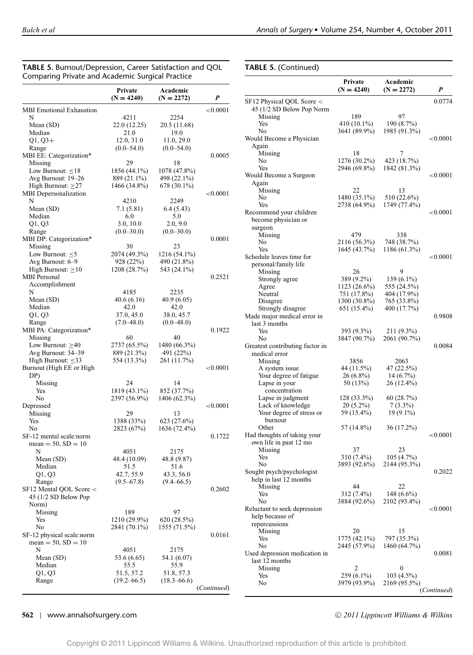|                                                  | Private<br>$(N = 4240)$       | Academic<br>$(N = 2272)$      | P           | SF12 Physical QO               |
|--------------------------------------------------|-------------------------------|-------------------------------|-------------|--------------------------------|
| <b>MBI</b> Emotional Exhaustion                  |                               |                               | ${<}0.0001$ | 45 (1/2 SD Belo                |
| N                                                | 4211                          | 2254                          |             | Missing                        |
| Mean $(SD)$                                      | 22.0 (12.25)                  | 20.5 (11.68)                  |             | Yes                            |
| Median                                           | 21.0                          | 19.0                          |             | N <sub>0</sub>                 |
| $Q1, Q3+$                                        | 12.0, 31.0                    | 11.0, 29.0                    |             | Would Become a P               |
| Range                                            | $(0.0 - 54.0)$                | $(0.0 - 54.0)$                |             | Again<br>Missing               |
| MBI EE: Categorization*                          |                               |                               | 0.0005      | No                             |
| Missing                                          | 29                            | 18                            |             | Yes                            |
| Low Burnout: $\leq 18$                           | 1856 (44.1%)                  | 1078 (47.8%)                  |             | Would Become a S               |
| Avg Burnout: 19–26                               | 889 (21.1%)                   | 498 (22.1%)                   |             | Again                          |
| High Burnout: $\geq$ 27<br>MBI Depersonalization | 1466 (34.8%)                  | 678 (30.1%)                   | ${<}0.0001$ | Missing                        |
| N                                                | 4210                          | 2249                          |             | No                             |
| Mean $(SD)$                                      | 7.1(5.81)                     | 6.4(5.43)                     |             | Yes                            |
| Median                                           | 6.0                           | 5.0                           |             | Recommend your                 |
| Q1, Q3                                           | 3.0, 10.0                     | 2.0, 9.0                      |             | become physicia                |
| Range                                            | $(0.0 - 30.0)$                | $(0.0 - 30.0)$                |             | surgeon                        |
| MBI DP: Categorization*                          |                               |                               | 0.0001      | Missing                        |
| Missing                                          | 30                            | 23                            |             | No<br>Yes                      |
| Low Burnout: $\leq$ 5                            | 2074 (49.3%)                  | 1216 (54.1%)                  |             | Schedule leaves tir            |
| Avg Burnout: 6-9                                 | 928 (22%)                     | 490 (21.8%)                   |             | personal/family                |
| High Burnout: $\geq 10$                          | 1208(28.7%)                   | 543 (24.1%)                   |             | Missing                        |
| <b>MBI</b> Personal                              |                               |                               | 0.2521      | Strongly agree                 |
| Accomplishment                                   |                               |                               |             | Agree                          |
| N                                                | 4185                          | 2235                          |             | Neutral                        |
| Mean $(SD)$                                      | 40.6(6.16)                    | 40.9(6.05)                    |             | Disagree                       |
| Median                                           | 42.0                          | 42.0                          |             | Strongly disag                 |
| Q1, Q3                                           | 37.0, 45.0                    | 38.0, 45.7                    |             | Made major medic               |
| Range                                            | $(7.0 - 48.0)$                | $(0.0 - 48.0)$                |             | last 3 months                  |
| MBI PA: Categorization*                          |                               |                               | 0.1922      | Yes                            |
| Missing                                          | 60                            | 40                            |             | N <sub>0</sub>                 |
| Low Burnout: $\geq 40$                           | 2737 (65.5%)                  | 1480 (66.3%)                  |             | Greatest contributi            |
| Avg Burnout: 34-39                               | 889 (21.3%)                   | 491 (22%)                     |             | medical error                  |
| High Burnout: $\leq 33$                          | 554 (13.3%)                   | 261 (11.7%)                   |             | Missing                        |
| Burnout (High EE or High                         |                               |                               | ${<}0.0001$ | A system issu                  |
| DP)<br>Missing                                   | 24                            | 14                            |             | Your degree o<br>Lapse in your |
| Yes                                              | 1819 (43.1%)                  | 852 (37.7%)                   |             | concentrati                    |
| No                                               | 2397 (56.9%)                  | 1406 (62.3%)                  |             | Lapse in judg                  |
| Depressed                                        |                               |                               | < 0.0001    | Lack of know                   |
| Missing                                          | 29                            | 13                            |             | Your degree o                  |
| Yes                                              | 1388(33%)                     | 623 (27.6%)                   |             | burnout                        |
| N <sub>0</sub>                                   | 2823 (67%)                    | 1636 (72.4%)                  |             | Other                          |
| SF-12 mental scale:norm                          |                               |                               | 0.1722      | Had thoughts of tal            |
| mean = 50, $SD = 10$                             |                               |                               |             | own life in past               |
| N                                                | 4051                          | 2175                          |             | Missing                        |
| Mean (SD)                                        | 48.4 (10.09)                  | 48.8 (9.87)                   |             | Yes                            |
| Median                                           | 51.5                          | 51.6                          |             | No                             |
| Q1, Q3                                           | 42.7, 55.9                    | 43.3, 56.0                    |             | Sought psych/psyc              |
| Range                                            | $(9.5 - 67.8)$                | $(9.4 - 66.5)$                |             | help in last 12 m              |
| SF12 Mental QOL Score <                          |                               |                               | 0.2602      | Missing<br>Yes                 |
| 45 (1/2 SD Below Pop                             |                               |                               |             | No                             |
| Norm)                                            |                               |                               |             | Reluctant to seek d            |
| Missing                                          | 189                           | 97                            |             | help because of                |
| Yes                                              | 1210 (29.9%)                  | 620 (28.5%)                   |             | repercussions                  |
| No                                               | 2841 (70.1%)                  | 1555 (71.5%)                  |             | Missing                        |
| SF-12 physical scale:norm                        |                               |                               | 0.0161      | Yes                            |
| mean = 50, $SD = 10$                             |                               |                               |             | No                             |
| N                                                | 4051                          | 2175                          |             | Used depression m              |
| Mean (SD)                                        | 53.6 (6.65)                   | 54.1 (6.07)<br>55.9           |             | last 12 months                 |
|                                                  |                               |                               |             |                                |
| Median                                           | 55.5                          |                               |             | Missing                        |
| Q1, Q3<br>Range                                  | 51.5, 57.2<br>$(19.2 - 66.5)$ | 51.8, 57.3<br>$(18.3 - 66.6)$ |             | Yes<br>No                      |

# **TABLE 5.** Burnout/Depression, Career Satisfaction and QOL Comparing Private and Academic Surgical Practice

# **TABLE 5.** (Continued)

|                                                  | Private<br>$(N = 4240)$ | Academic<br>$(N = 2272)$ | P           |
|--------------------------------------------------|-------------------------|--------------------------|-------------|
| SF12 Physical QOL Score <                        |                         |                          | 0.0774      |
| 45 (1/2 SD Below Pop Norm                        |                         |                          |             |
| Missing                                          | 189                     | 97                       |             |
| Yes                                              | 410 (10.1%)             | 190 (8.7%)               |             |
| No                                               | 3641 (89.9%)            | 1985 (91.3%)             |             |
| Would Become a Physician                         |                         |                          | ${<}0.0001$ |
| Again<br>Missing                                 | 18                      | 7                        |             |
| No                                               | 1276 (30.2%)            | 423 (18.7%)              |             |
| Yes                                              | 2946 (69.8%)            | 1842 (81.3%)             |             |
| Would Become a Surgeon                           |                         |                          | ${<}0.0001$ |
| Again                                            |                         |                          |             |
| Missing                                          | 22                      | 13                       |             |
| No                                               | 1480 (35.1%)            | 510 (22.6%)              |             |
| Yes                                              | 2738 (64.9%)            | 1749 (77.4%)             |             |
| Recommend your children                          |                         |                          | ${<}0.0001$ |
| become physician or                              |                         |                          |             |
| surgeon                                          |                         |                          |             |
| Missing<br>No                                    | 479<br>2116 (56.3%)     | 338<br>748 (38.7%)       |             |
| Yes                                              | 1645 (43.7%)            | 1186 (61.3%)             |             |
| Schedule leaves time for                         |                         |                          | ${<}0.0001$ |
| personal/family life                             |                         |                          |             |
| Missing                                          | 26                      | 9                        |             |
| Strongly agree                                   | 389 (9.2%)              | 139 (6.1%)               |             |
| Agree                                            | 1123 (26.6%)            | 555 (24.5%)              |             |
| Neutral                                          | 751 (17.8%)             | 404 (17.9%)              |             |
| Disagree                                         | 1300 (30.8%)            | 765 (33.8%)              |             |
| Strongly disagree                                | 651 (15.4%)             | 400 (17.7%)              |             |
| Made major medical error in                      |                         |                          | 0.9808      |
| last 3 months                                    |                         |                          |             |
| Yes                                              | 393 (9.3%)              | 211 (9.3%)               |             |
| No                                               | 3847 (90.7%)            | 2061 (90.7%)             |             |
| Greatest contributing factor in<br>medical error |                         |                          | 0.0084      |
| Missing                                          | 3856                    | 2063                     |             |
| A system issue                                   | 44 (11.5%)              | 47 (22.5%)               |             |
| Your degree of fatigue                           | 26 (6.8%)               | $14(6.7\%)$              |             |
| Lapse in your                                    | 50 (13%)                | 26 (12.4%)               |             |
| concentration                                    |                         |                          |             |
| Lapse in judgment                                | 128 (33.3%)             | 60(28.7%)                |             |
| Lack of knowledge                                | $20(5.2\%)$             | 7 (3.3%)                 |             |
| Your degree of stress or                         | 59 (15.4%)              | 19 (9.1%)                |             |
| burnout                                          |                         |                          |             |
| Other                                            | 57 (14.8%)              | 36 (17.2%)               |             |
| Had thoughts of taking your                      |                         |                          | < 0.0001    |
| own life in past 12 mo                           | 37                      | 23                       |             |
| Missing<br>Yes                                   | 310 (7.4%)              | 105 (4.7%)               |             |
| No                                               | 3893 (92.6%)            | 2144 (95.3%)             |             |
| Sought psych/psychologist                        |                         |                          | 0.2022      |
| help in last 12 months                           |                         |                          |             |
| Missing                                          | 44                      | 22                       |             |
| Yes                                              | 312 (7.4%)              | 148 (6.6%)               |             |
| No                                               | 3884 (92.6%)            | 2102 (93.4%)             |             |
| Reluctant to seek depression                     |                         |                          | ${<}0.0001$ |
| help because of                                  |                         |                          |             |
| repercussions                                    |                         |                          |             |
| Missing                                          | 20                      | 15                       |             |
| Yes                                              | 1775 (42.1%)            | 797 (35.3%)              |             |
| No                                               | 2445 (57.9%)            | 1460 (64.7%)             | 0.0081      |
| Used depression medication in<br>last 12 months  |                         |                          |             |
| Missing                                          | 2                       | 0                        |             |
| Yes                                              | 259 (6.1%)              | 103 (4.5%)               |             |
| No                                               | 3979 (93.9%)            | 2169 (95.5%)             |             |
|                                                  |                         |                          | (Continued) |

# **562** | www.annalsofsurgery.com <sup>C</sup> *2011 Lippincott Williams & Wilkins*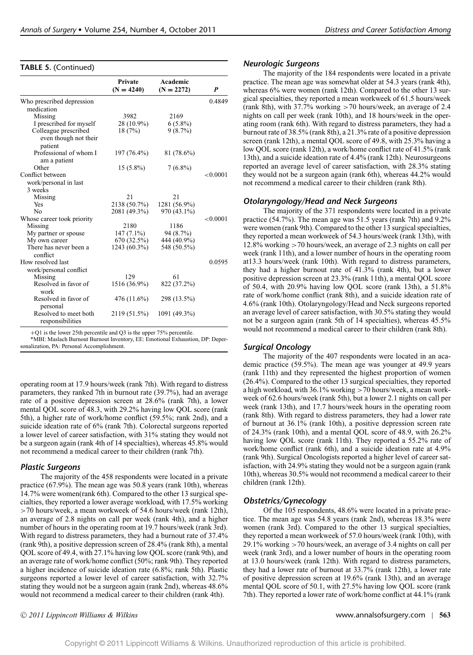# **TABLE 5.** (Continued)

|                                                          | <b>Private</b><br>$(N = 4240)$ | Academic<br>$(N = 2272)$ | P           |
|----------------------------------------------------------|--------------------------------|--------------------------|-------------|
| Who prescribed depression                                |                                |                          | 0.4849      |
| medication                                               |                                |                          |             |
| Missing                                                  | 3982                           | 2169                     |             |
| I prescribed for myself                                  | 28 (10.9%)                     | $6(5.8\%)$               |             |
| Colleague prescribed<br>even though not their<br>patient | 18(7%)                         | $9(8.7\%)$               |             |
| Professional of whom I<br>am a patient                   | 197 (76.4%)                    | 81 (78.6%)               |             |
| Other                                                    | $15(5.8\%)$                    | $7(6.8\%)$               |             |
| Conflict between                                         |                                |                          | ${<}0.0001$ |
| work/personal in last                                    |                                |                          |             |
| 3 weeks                                                  |                                |                          |             |
| Missing                                                  | 21                             | 21                       |             |
| Yes                                                      | 2138 (50.7%)                   | 1281 (56.9%)             |             |
| N <sub>0</sub>                                           | 2081 (49.3%)                   | 970 (43.1%)              |             |
| Whose career took priority                               |                                |                          | ${<}0.0001$ |
| Missing                                                  | 2180                           | 1186                     |             |
| My partner or spouse                                     | 147 (7.1%)                     | 94 (8.7%)                |             |
| My own career                                            | 670 (32.5%)                    | 444 (40.9%)              |             |
| There has never been a<br>conflict                       | 1243 (60.3%)                   | 548 (50.5%)              |             |
| How resolved last                                        |                                |                          | 0.0595      |
| work/personal conflict                                   |                                |                          |             |
| Missing                                                  | 129                            | 61                       |             |
| Resolved in favor of<br>work                             | 1516 (36.9%)                   | 822 (37.2%)              |             |
| Resolved in favor of<br>personal                         | 476 (11.6%)                    | 298 (13.5%)              |             |
| Resolved to meet both<br>responsibilities                | 2119 (51.5%)                   | 1091 (49.3%)             |             |

+Q1 is the lower 25th percentile and Q3 is the upper 75% percentile.

\*MBI: Maslach Burnout Burnout Inventory, EE: Emotional Exhaustion, DP: Depersonalization, PA: Personal Accomplishment.

operating room at 17.9 hours/week (rank 7th). With regard to distress parameters, they ranked 7th in burnout rate (39.7%), had an average rate of a positive depression screen at 28.6% (rank 7th), a lower mental QOL score of 48.3, with 29.2% having low QOL score (rank 5th), a higher rate of work/home conflict (59.5%; rank 2nd), and a suicide ideation rate of 6% (rank 7th). Colorectal surgeons reported a lower level of career satisfaction, with 31% stating they would not be a surgeon again (rank 4th of 14 specialties), whereas 45.8% would not recommend a medical career to their children (rank 7th).

# *Plastic Surgeons*

The majority of the 458 respondents were located in a private practice (67.9%). The mean age was 50.8 years (rank 10th), whereas 14.7% were women(rank 6th). Compared to the other 13 surgical specialties, they reported a lower average workload, with 17.5% working >70 hours/week, a mean workweek of 54.6 hours/week (rank 12th), an average of 2.8 nights on call per week (rank 4th), and a higher number of hours in the operating room at 19.7 hours/week (rank 3rd). With regard to distress parameters, they had a burnout rate of 37.4% (rank 9th), a positive depression screen of 28.4% (rank 8th), a mental QOL score of 49.4, with 27.1% having low QOL score (rank 9th), and an average rate of work/home conflict (50%; rank 9th). They reported a higher incidence of suicide ideation rate (6.8%; rank 5th). Plastic surgeons reported a lower level of career satisfaction, with 32.7% stating they would not be a surgeon again (rank 2nd), whereas 48.6% would not recommend a medical career to their children (rank 4th).

# *Neurologic Surgeons*

The majority of the 184 respondents were located in a private practice. The mean age was somewhat older at 54.3 years (rank 4th), whereas 6% were women (rank 12th). Compared to the other 13 surgical specialties, they reported a mean workweek of 61.5 hours/week (rank 8th), with 37.7% working >70 hours/week, an average of 2.4 nights on call per week (rank 10th), and 18 hours/week in the operating room (rank 6th). With regard to distress parameters, they had a burnout rate of 38.5% (rank 8th), a 21.3% rate of a positive depression screen (rank 12th), a mental QOL score of 49.8, with 25.3% having a low QOL score (rank 12th), a work/home conflict rate of 41.5% (rank 13th), and a suicide ideation rate of 4.4% (rank 12th). Neurosurgeons reported an average level of career satisfaction, with 28.3% stating they would not be a surgeon again (rank 6th), whereas 44.2% would not recommend a medical career to their children (rank 8th).

# *Otolaryngology/Head and Neck Surgeons*

The majority of the 371 respondents were located in a private practice (54.7%). The mean age was 51.5 years (rank 7th) and 9.2% were women (rank 9th). Compared to the other 13 surgical specialties, they reported a mean workweek of 54.3 hours/week (rank 13th), with 12.8% working >70 hours/week, an average of 2.3 nights on call per week (rank 11th), and a lower number of hours in the operating room at13.3 hours/week (rank 10th). With regard to distress parameters, they had a higher burnout rate of 41.3% (rank 4th), but a lower positive depression screen at 23.3% (rank 11th), a mental QOL score of 50.4, with 20.9% having low QOL score (rank 13th), a 51.8% rate of work/home conflict (rank 8th), and a suicide ideation rate of 4.6% (rank 10th). Otolaryngology/Head and Neck surgeons reported an average level of career satisfaction, with 30.5% stating they would not be a surgeon again (rank 5th of 14 specialties), whereas 45.5% would not recommend a medical career to their children (rank 8th).

# *Surgical Oncology*

The majority of the 407 respondents were located in an academic practice (59.5%). The mean age was younger at 49.9 years (rank 11th) and they represented the highest proportion of women (26.4%). Compared to the other 13 surgical specialties, they reported a high workload, with 36.1% working >70 hours/week, a mean workweek of 62.6 hours/week (rank 5th), but a lower 2.1 nights on call per week (rank 13th), and 17.7 hours/week hours in the operating room (rank 8th). With regard to distress parameters, they had a lower rate of burnout at 36.1% (rank 10th), a positive depression screen rate of 24.3% (rank 10th), and a mental QOL score of 48.9, with 26.2% having low QOL score (rank 11th). They reported a 55.2% rate of work/home conflict (rank 6th), and a suicide ideation rate at 4.9% (rank 9th). Surgical Oncologists reported a higher level of career satisfaction, with 24.9% stating they would not be a surgeon again (rank 10th), whereas 30.5% would not recommend a medical career to their children (rank 12th).

# *Obstetrics/Gynecology*

Of the 105 respondents, 48.6% were located in a private practice. The mean age was 54.8 years (rank 2nd), whereas 18.3% were women (rank 3rd). Compared to the other 13 surgical specialties, they reported a mean workweek of 57.0 hours/week (rank 10th), with 29.1% working >70 hours/week, an average of 3.4 nights on call per week (rank 3rd), and a lower number of hours in the operating room at 13.0 hours/week (rank 12th). With regard to distress parameters, they had a lower rate of burnout at 33.7% (rank 12th), a lower rate of positive depression screen at 19.6% (rank 13th), and an average mental QOL score of 50.1, with 27.5% having low QOL score (rank 7th). They reported a lower rate of work/home conflict at 44.1% (rank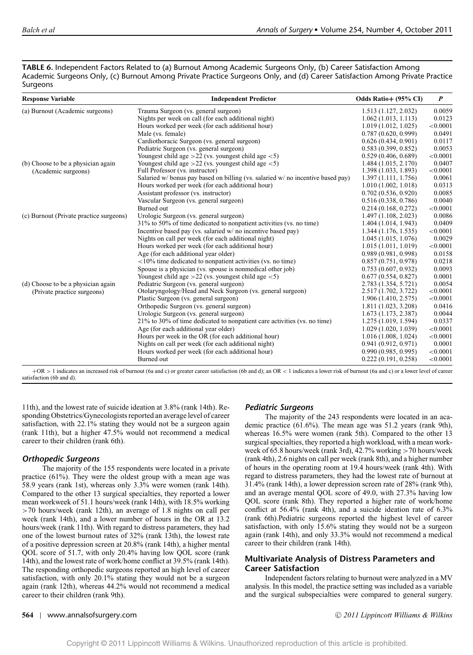**TABLE 6.** Independent Factors Related to (a) Burnout Among Academic Surgeons Only, (b) Career Satisfaction Among Academic Surgeons Only, (c) Burnout Among Private Practice Surgeons Only, and (d) Career Satisfaction Among Private Practice Surgeons

| <b>Response Variable</b>                | <b>Independent Predictor</b>                                                  | Odds Ratio+ (95% CI) | $\boldsymbol{P}$ |
|-----------------------------------------|-------------------------------------------------------------------------------|----------------------|------------------|
| (a) Burnout (Academic surgeons)         | Trauma Surgeon (vs. general surgeon)                                          | 1.513(1.127, 2.032)  | 0.0059           |
|                                         | Nights per week on call (for each additional night)                           | 1.062(1.013, 1.113)  | 0.0123           |
|                                         | Hours worked per week (for each additional hour)                              | 1.019(1.012, 1.025)  | < 0.0001         |
|                                         | Male (vs. female)                                                             | 0.787(0.620, 0.999)  | 0.0491           |
|                                         | Cardiothoracic Surgeon (vs. general surgeon)                                  | 0.626(0.434, 0.901)  | 0.0117           |
|                                         | Pediatric Surgeon (vs. general surgeon)                                       | 0.583(0.399, 0.852)  | 0.0053           |
|                                         | Youngest child age $>22$ (vs. youngest child age $< 5$ )                      | 0.529(0.406, 0.689)  | ${<}0.0001$      |
| (b) Choose to be a physician again      | Youngest child age $>22$ (vs. youngest child age $<$ 5)                       | 1.484 (1.015, 2.170) | 0.0407           |
| (Academic surgeons)                     | Full Professor (vs. instructor)                                               | 1.398 (1.033, 1.893) | < 0.0001         |
|                                         | Salaried w/bonus pay based on billing (vs. salaried w/no incentive based pay) | 1.397(1.111, 1.756)  | 0.0061           |
|                                         | Hours worked per week (for each additional hour)                              | 1.010(1.002, 1.018)  | 0.0313           |
|                                         | Assistant professor (vs. instructor)                                          | 0.702(0.536, 0.920)  | 0.0085           |
|                                         | Vascular Surgeon (vs. general surgeon)                                        | 0.516(0.338, 0.786)  | 0.0040           |
|                                         | Burned out                                                                    | 0.214(0.168, 0.272)  | < 0.0001         |
| (c) Burnout (Private practice surgeons) | Urologic Surgeon (vs. general surgeon)                                        | 1.497(1.108, 2.023)  | 0.0086           |
|                                         | 31% to 50% of time dedicated to nonpatient activities (vs. no time)           | 1.404(1.014, 1.943)  | 0.0409           |
|                                         | Incentive based pay (vs. salaried w/no incentive based pay)                   | 1.344(1.176, 1.535)  | < 0.0001         |
|                                         | Nights on call per week (for each additional night)                           | 1.045(1.015, 1.076)  | 0.0029           |
|                                         | Hours worked per week (for each additional hour)                              | 1.015(1.011, 1.019)  | < 0.0001         |
|                                         | Age (for each additional year older)                                          | 0.989 (0.981, 0.998) | 0.0158           |
|                                         | $\langle 10\%$ time dedicated to nonpatient activities (vs. no time)          | 0.857(0.751, 0.978)  | 0.0218           |
|                                         | Spouse is a physician (vs. spouse is nonmedical other job)                    | 0.753(0.607, 0.932)  | 0.0093           |
|                                         | Youngest child age $>22$ (vs. youngest child age $< 5$ )                      | 0.677(0.554, 0.827)  | 0.0001           |
| (d) Choose to be a physician again      | Pediatric Surgeon (vs. general surgeon)                                       | 2.783 (1.354, 5.721) | 0.0054           |
| (Private practice surgeons)             | Otolaryngology/Head and Neck Surgeon (vs. general surgeon)                    | 2.517 (1.702, 3.722) | < 0.0001         |
|                                         | Plastic Surgeon (vs. general surgeon)                                         | 1.906(1.410, 2.575)  | < 0.0001         |
|                                         | Orthopedic Surgeon (vs. general surgeon)                                      | 1.811(1.023, 3.208)  | 0.0416           |
|                                         | Urologic Surgeon (vs. general surgeon)                                        | 1.673(1.173, 2.387)  | 0.0044           |
|                                         | 21% to 30% of time dedicated to nonpatient care activities (vs. no time)      | 1.275 (1.019, 1.594) | 0.0337           |
|                                         | Age (for each additional year older)                                          | 1.029 (1.020, 1.039) | < 0.0001         |
|                                         | Hours per week in the OR (for each additional hour)                           | 1.016(1.008, 1.024)  | < 0.0001         |
|                                         | Nights on call per week (for each additional night)                           | 0.941(0.912, 0.971)  | 0.0001           |
|                                         | Hours worked per week (for each additional hour)                              | 0.990(0.985, 0.995)  | ${<}0.0001$      |
|                                         | Burned out                                                                    | 0.222(0.191, 0.258)  | < 0.0001         |

+OR > 1 indicates an increased risk of burnout (6a and c) or greater career satisfaction (6b and d); an OR < 1 indicates a lower risk of burnout (6a and c) or a lower level of career satisfaction (6b and d).

11th), and the lowest rate of suicide ideation at 3.8% (rank 14th). Responding Obstetrics/Gynecologists reported an average level of career satisfaction, with 22.1% stating they would not be a surgeon again (rank 11th), but a higher 47.5% would not recommend a medical career to their children (rank 6th).

# *Orthopedic Surgeons*

The majority of the 155 respondents were located in a private practice (61%). They were the oldest group with a mean age was 58.9 years (rank 1st), whereas only 3.3% were women (rank 14th). Compared to the other 13 surgical specialties, they reported a lower mean workweek of 51.1 hours/week (rank 14th), with 18.5% working >70 hours/week (rank 12th), an average of 1.8 nights on call per week (rank 14th), and a lower number of hours in the OR at 13.2 hours/week (rank 11th). With regard to distress parameters, they had one of the lowest burnout rates of 32% (rank 13th), the lowest rate of a positive depression screen at 20.8% (rank 14th), a higher mental QOL score of 51.7, with only 20.4% having low QOL score (rank 14th), and the lowest rate of work/home conflict at 39.5% (rank 14th). The responding orthopedic surgeons reported an high level of career satisfaction, with only 20.1% stating they would not be a surgeon again (rank 12th), whereas 44.2% would not recommend a medical career to their children (rank 9th).

# *Pediatric Surgeons*

The majority of the 243 respondents were located in an academic practice (61.6%). The mean age was 51.2 years (rank 9th), whereas 16.5% were women (rank 5th). Compared to the other 13 surgical specialties, they reported a high workload, with a mean workweek of 65.8 hours/week (rank 3rd), 42.7% working >70 hours/week (rank 4th), 2.6 nights on call per week (rank 8th), and a higher number of hours in the operating room at 19.4 hours/week (rank 4th). With regard to distress parameters, they had the lowest rate of burnout at 31.4% (rank 14th), a lower depression screen rate of 28% (rank 9th), and an average mental QOL score of 49.0, with 27.3% having low QOL score (rank 8th). They reported a higher rate of work/home conflict at 56.4% (rank 4th), and a suicide ideation rate of 6.3% (rank 6th).Pediatric surgeons reported the highest level of career satisfaction, with only 15.6% stating they would not be a surgeon again (rank 14th), and only 33.3% would not recommend a medical career to their children (rank 14th).

# **Multivariate Analysis of Distress Parameters and Career Satisfaction**

Independent factors relating to burnout were analyzed in a MV analysis. In this model, the practice setting was included as a variable and the surgical subspecialties were compared to general surgery.

**564** | www.annalsofsurgery.com <sup>C</sup> *2011 Lippincott Williams & Wilkins*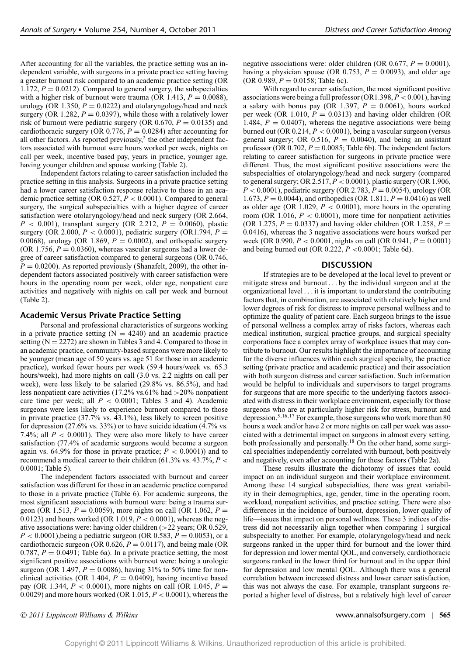After accounting for all the variables, the practice setting was an independent variable, with surgeons in a private practice setting having a greater burnout risk compared to an academic practice setting (OR 1.172,  $P = 0.0212$ ). Compared to general surgery, the subspecialties with a higher risk of burnout were trauma (OR 1.413,  $P = 0.0088$ ), urology (OR 1.350,  $P = 0.0222$ ) and otolaryngology/head and neck surgery (OR 1.282,  $P = 0.0397$ ), while those with a relatively lower risk of burnout were pediatric surgery (OR  $0.670$ ,  $P = 0.0135$ ) and cardiothoracic surgery (OR  $0.776$ ,  $P = 0.0284$ ) after accounting for all other factors. As reported previously, $2$  the other independent factors associated with burnout were hours worked per week, nights on call per week, incentive based pay, years in practice, younger age, having younger children and spouse working (Table 2).

Independent factors relating to career satisfaction included the practice setting in this analysis. Surgeons in a private practice setting had a lower career satisfaction response relative to those in an academic practice setting (OR 0.527, *P* < 0.0001). Compared to general surgery, the surgical subspecialties with a higher degree of career satisfaction were otolaryngology/head and neck surgery (OR 2.664, *P* < 0.001), transplant surgery (OR 2.212, *P* = 0.0060), plastic surgery (OR 2.000, *P* < 0.0001), pediatric surgery (OR1.794, *P* = 0.0068), urology (OR 1.869,  $P = 0.0002$ ), and orthopedic surgery (OR 1.756,  $P = 0.0360$ ), whereas vascular surgeons had a lower degree of career satisfaction compared to general surgeons (OR 0.746,  $P = 0.0200$ ). As reported previously (Shanafelt, 2009), the other independent factors associated positively with career satisfaction were hours in the operating room per week, older age, nonpatient care activities and negatively with nights on call per week and burnout (Table 2).

#### **Academic Versus Private Practice Setting**

Personal and professional characteristics of surgeons working in a private practice setting  $(N = 4240)$  and an academic practice setting  $(N = 2272)$  are shown in Tables 3 and 4. Compared to those in an academic practice, community-based surgeons were more likely to be younger (mean age of 50 years vs. age 51 for those in an academic practice), worked fewer hours per week (59.4 hours/week vs. 65.3 hours/week), had more nights on call (3.0 vs. 2.2 nights on call per week), were less likely to be salaried (29.8% vs. 86.5%), and had less nonpatient care activities (17.2% vs.61% had >20% nonpatient care time per week; all  $P < 0.0001$ ; Tables 3 and 4). Academic surgeons were less likely to experience burnout compared to those in private practice (37.7% vs. 43.1%), less likely to screen positive for depression (27.6% vs. 33%) or to have suicide ideation (4.7% vs. 7.4%; all  $P < 0.0001$ ). They were also more likely to have career satisfaction (77.4% of academic surgeons would become a surgeon again vs. 64.9% for those in private practice;  $P < 0.0001$ ) and to recommend a medical career to their children (61.3% vs. 43.7%, *P* < 0.0001; Table 5).

The independent factors associated with burnout and career satisfaction was different for those in an academic practice compared to those in a private practice (Table 6). For academic surgeons, the most significant associations with burnout were: being a trauma surgeon (OR 1.513,  $P = 0.0059$ ), more nights on call (OR 1.062,  $P =$ 0.0123) and hours worked (OR 1.019, *P* < 0.0001), whereas the negative associations were: having older children (>22 years; OR 0.529,  $P < 0.0001$ ), being a pediatric surgeon (OR 0.583,  $P = 0.0053$ ), or a cardiothoracic surgeon (OR  $0.626$ ,  $P = 0.0117$ ), and being male (OR 0.787,  $P = 0.0491$ ; Table 6a). In a private practice setting, the most significant positive associations with burnout were: being a urologic surgeon (OR 1.497,  $P = 0.0086$ ), having 31% to 50% time for nonclinical activities (OR 1.404,  $P = 0.0409$ ), having incentive based pay (OR 1.344, *P* < 0.0001), more nights on call (OR 1.045, *P* = 0.0029) and more hours worked (OR 1.015, *P* < 0.0001), whereas the negative associations were: older children (OR  $0.677$ ,  $P = 0.0001$ ), having a physician spouse (OR 0.753,  $P = 0.0093$ ), and older age (OR 0.989,  $P = 0.0158$ ; Table 6c).

With regard to career satisfaction, the most significant positive associations were being a full professor (OR1.398, *P* < 0.001), having a salary with bonus pay (OR 1.397,  $P = 0.0061$ ), hours worked per week (OR 1.010,  $P = 0.0313$ ) and having older children (OR 1.484,  $P = 0.0407$ , whereas the negative associations were being burned out (OR 0.214, *P* < 0.0001), being a vascular surgeon (versus general surgery; OR 0.516,  $P = 0.0040$ , and being an assistant professor (OR  $0.702$ ,  $P = 0.0085$ ; Table 6b). The independent factors relating to career satisfaction for surgeons in private practice were different. Thus, the most significant positive associations were the subspecialties of otolaryngology/head and neck surgery (compared to general surgery; OR 2.517, *P* < 0.0001), plastic surgery (OR 1.906, *P* < 0.0001), pediatric surgery (OR 2.783, *P* = 0.0054), urology (OR 1.673,  $P = 0.0044$ ), and orthopedics (OR 1.811,  $P = 0.0416$ ) as well as older age (OR 1.029,  $P < 0.0001$ ), more hours in the operating room (OR 1.016,  $P < 0.0001$ ), more time for nonpatient activities (OR 1.275,  $P = 0.0337$ ) and having older children (OR 1.258,  $P =$ 0.0416), whereas the 3 negative associations were hours worked per week (OR 0.990, *P* < 0.0001, nights on call (OR 0.941, *P* = 0.0001) and being burned out (OR 0.222, *P* <0.0001; Table 6d).

#### **DISCUSSION**

If strategies are to be developed at the local level to prevent or mitigate stress and burnout . . . by the individual surgeon and at the organizational level . . . it is important to understand the contributing factors that, in combination, are associated with relatively higher and lower degrees of risk for distress to improve personal wellness and to optimize the quality of patient care. Each surgeon brings to the issue of personal wellness a complex array of risks factors, whereas each medical institution, surgical practice groups, and surgical specialty corporations face a complex array of workplace issues that may contribute to burnout. Our results highlight the importance of accounting for the diverse influences within each surgical specialty, the practice setting (private practice and academic practice) and their association with both surgeon distress and career satisfaction. Such information would be helpful to individuals and supervisors to target programs for surgeons that are more specific to the underlying factors associated with distress in their workplace environment, especially for those surgeons who are at particularly higher risk for stress, burnout and depression.<sup>5,16,17</sup> For example, those surgeons who work more than 80 hours a week and/or have 2 or more nights on call per week was associated with a detrimental impact on surgeons in almost every setting, both professionally and personally.18 On the other hand, some surgical specialties independently correlated with burnout, both positively and negatively, even after accounting for these factors (Table 2a).

These results illustrate the dichotomy of issues that could impact on an individual surgeon and their workplace environment. Among these 14 surgical subspecialties, there was great variability in their demographics, age, gender, time in the operating room, workload, nonpatient activities, and practice setting. There were also differences in the incidence of burnout, depression, lower quality of life—issues that impact on personal wellness. These 3 indices of distress did not necessarily align together when comparing 1 surgical subspecialty to another. For example, otolaryngology/head and neck surgeons ranked in the upper third for burnout and the lower third for depression and lower mental QOL, and conversely, cardiothoracic surgeons ranked in the lower third for burnout and in the upper third for depression and low mental QOL. Although there was a general correlation between increased distress and lower career satisfaction, this was not always the case. For example, transplant surgeons reported a higher level of distress, but a relatively high level of career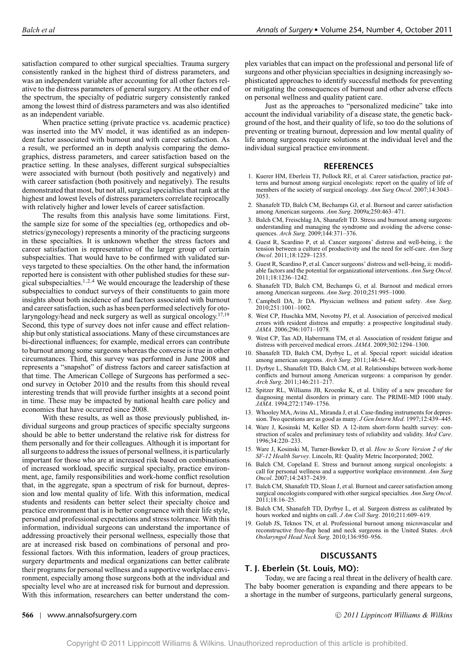satisfaction compared to other surgical specialties. Trauma surgery consistently ranked in the highest third of distress parameters, and was an independent variable after accounting for all other factors relative to the distress parameters of general surgery. At the other end of the spectrum, the specialty of pediatric surgery consistently ranked among the lowest third of distress parameters and was also identified as an independent variable.

When practice setting (private practice vs. academic practice) was inserted into the MV model, it was identified as an independent factor associated with burnout and with career satisfaction. As a result, we performed an in depth analysis comparing the demographics, distress parameters, and career satisfaction based on the practice setting. In these analyses, different surgical subspecialties were associated with burnout (both positively and negatively) and with career satisfaction (both positively and negatively). The results demonstrated that most, but not all, surgical specialties that rank at the highest and lowest levels of distress parameters correlate reciprocally with relatively higher and lower levels of career satisfaction.

The results from this analysis have some limitations. First, the sample size for some of the specialties (eg, orthopedics and obstetrics/gynecology) represents a minority of the practicing surgeons in these specialties. It is unknown whether the stress factors and career satisfaction is representative of the larger group of certain subspecialties. That would have to be confirmed with validated surveys targeted to these specialties. On the other hand, the information reported here is consistent with other published studies for these surgical subspecialties.<sup>1,2,4</sup> We would encourage the leadership of these subspecialties to conduct surveys of their constituents to gain more insights about both incidence of and factors associated with burnout and career satisfaction, such as has been performed selectively for otolaryngology/head and neck surgery as well as surgical oncology.17,19 Second, this type of survey does not infer cause and effect relationship but only statistical associations. Many of these circumstances are bi-directional influences; for example, medical errors can contribute to burnout among some surgeons whereas the converse is true in other circumstances. Third, this survey was performed in June 2008 and represents a "snapshot" of distress factors and career satisfaction at that time. The American College of Surgeons has performed a second survey in October 2010 and the results from this should reveal interesting trends that will provide further insights at a second point in time. These may be impacted by national health care policy and economics that have occurred since 2008.

With these results, as well as those previously published, individual surgeons and group practices of specific specialty surgeons should be able to better understand the relative risk for distress for them personally and for their colleagues. Although it is important for all surgeons to address the issues of personal wellness, it is particularly important for those who are at increased risk based on combinations of increased workload, specific surgical specialty, practice environment, age, family responsibilities and work-home conflict resolution that, in the aggregate, span a spectrum of risk for burnout, depression and low mental quality of life. With this information, medical students and residents can better select their specialty choice and practice environment that is in better congruence with their life style, personal and professional expectations and stress tolerance. With this information, individual surgeons can understand the importance of addressing proactively their personal wellness, especially those that are at increased risk based on combinations of personal and professional factors. With this information, leaders of group practices, surgery departments and medical organizations can better calibrate their programs for personal wellness and a supportive workplace environment, especially among those surgeons both at the individual and specialty level who are at increased risk for burnout and depression. With this information, researchers can better understand the complex variables that can impact on the professional and personal life of surgeons and other physician specialties in designing increasingly sophisticated approaches to identify successful methods for preventing or mitigating the consequences of burnout and other adverse effects on personal wellness and quality patient care.

Just as the approaches to "personalized medicine" take into account the individual variability of a disease state, the genetic background of the host, and their quality of life, so too do the solutions of preventing or treating burnout, depression and low mental quality of life among surgeons require solutions at the individual level and the individual surgical practice environment.

# **REFERENCES**

- 1. Kuerer HM, Eberlein TJ, Pollock RE, et al. Career satisfaction, practice patterns and burnout among surgical oncologists: report on the quality of life of members of the society of surgical oncology. *Ann Surg Oncol*. 2007;14:3043– 3053.
- 2. Shanafelt TD, Balch CM, Bechamps GJ, et al. Burnout and career satisfaction among American surgeons. *Ann Surg*. 2009a;250:463–471.
- 3. Balch CM, Freischlag JA, Shanafelt TD. Stress and burnout among surgeons: understanding and managing the syndrome and avoiding the adverse consequences. *Arch Surg*. 2009;144:371–376.
- 4. Guest R, Scardino P, et al. Cancer surgeons' distress and well-being, i: the tension between a culture of productivity and the need for self-care. *Ann Surg Oncol*. 2011;18:1229–1235.
- 5. Guest R, Scardino P, et al. Cancer surgeons' distress and well-being, ii: modifiable factors and the potential for organizational interventions. *Ann Surg Oncol*. 2011;18:1236–1242.
- 6. Shanafelt TD, Balch CM, Bechamps G, et al. Burnout and medical errors among American surgeons. *Ann Surg*. 2010;251:995–1000.
- 7. Campbell DA, Jr DA. Physician wellness and patient safety. *Ann Surg*. 2010;251:1001–1002.
- 8. West CP, Huschka MM, Novotny PJ, et al. Association of perceived medical errors with resident distress and empathy: a prospective longitudinal study. *JAMA*. 2006;296:1071–1078.
- 9. West CP, Tan AD, Habermann TM, et al. Association of resident fatigue and distress with perceived medical errors. *JAMA*. 2009;302:1294–1300.
- 10. Shanafelt TD, Balch CM, Dyrbye L, et al. Special report: suicidal ideation among american surgeons. *Arch Surg*. 2011;146:54–62.
- 11. Dyrbye L, Shanafelt TD, Balch CM, et al. Relationships between work-home conflicts and burnout among American surgeons: a comparison by gender. *Arch Surg*. 2011;146:211–217.
- 12. Spitzer RL, Williams JB, Kroenke K, et al. Utility of a new procedure for diagnosing mental disorders in primary care. The PRIME-MD 1000 study. *JAMA*. 1994;272:1749–1756.
- 13. Whooley MA, Avins AL, Miranda J, et al. Case-finding instruments for depression. Two questions are as good as many. *J Gen Intern Med*. 1997;12:439–445.
- 14. Ware J, Kosinski M, Keller SD. A 12-item short-form health survey: construction of scales and preliminary tests of reliability and validity. *Med Care*. 1996;34:220–233.
- 15. Ware J, Kosinski M, Turner-Bowker D, et al. *How to Score Version 2 of the SF-12 Health Survey*. Lincoln, RI: Quality Metric Incorporated; 2002.
- 16. Balch CM, Copeland E. Stress and burnout among surgical oncologists: a call for personal wellness and a supportive workplace environment. *Ann Surg Oncol*. 2007;14:2437–2439.
- 17. Balch CM, Shanafelt TD, Sloan J, et al. Burnout and career satisfaction among surgical oncologists compared with other surgical specialties. *Ann Surg Oncol*. 2011;18:16–25.
- 18. Balch CM, Shanafelt TD, Dyrbye L, et al. Surgeon distress as calibrated by hours worked and nights on call. *J Am Coll Surg*. 2010;211:609–619.
- 19. Golub JS, Teknos TN, et al. Professional burnout among microvascular and reconstructive free-flap head and neck surgeons in the United States. *Arch Otolaryngol Head Neck Surg*. 2010;136:950–956.

# **DISCUSSANTS**

# **T. J. Eberlein (St. Louis, MO):**

Today, we are facing a real threat in the delivery of health care. The baby boomer generation is expanding and there appears to be a shortage in the number of surgeons, particularly general surgeons,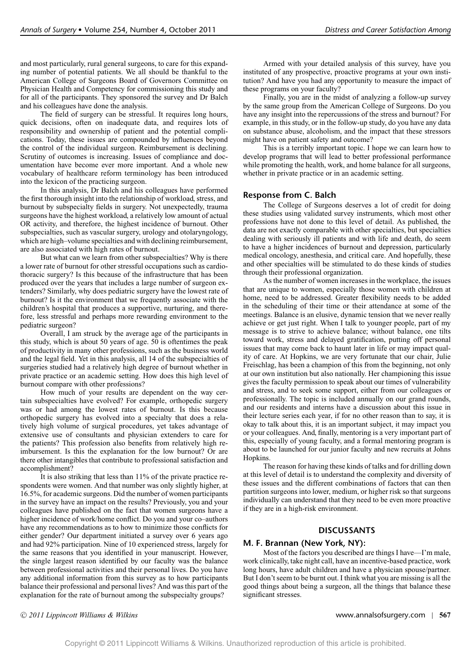and most particularly, rural general surgeons, to care for this expanding number of potential patients. We all should be thankful to the American College of Surgeons Board of Governors Committee on Physician Health and Competency for commissioning this study and for all of the participants. They sponsored the survey and Dr Balch and his colleagues have done the analysis.

The field of surgery can be stressful. It requires long hours, quick decisions, often on inadequate data, and requires lots of responsibility and ownership of patient and the potential complications. Today, these issues are compounded by influences beyond the control of the individual surgeon. Reimbursement is declining. Scrutiny of outcomes is increasing. Issues of compliance and documentation have become ever more important. And a whole new vocabulary of healthcare reform terminology has been introduced into the lexicon of the practicing surgeon.

In this analysis, Dr Balch and his colleagues have performed the first thorough insight into the relationship of workload, stress, and burnout by subspecialty fields in surgery. Not unexpectedly, trauma surgeons have the highest workload, a relatively low amount of actual OR activity, and therefore, the highest incidence of burnout. Other subspecialties, such as vascular surgery, urology and otolaryngology, which are high–volume specialties and with declining reimbursement, are also associated with high rates of burnout.

But what can we learn from other subspecialties? Why is there a lower rate of burnout for other stressful occupations such as cardiothoracic surgery? Is this because of the infrastructure that has been produced over the years that includes a large number of surgeon extenders? Similarly, why does pediatric surgery have the lowest rate of burnout? Is it the environment that we frequently associate with the children's hospital that produces a supportive, nurturing, and therefore, less stressful and perhaps more rewarding environment to the pediatric surgeon?

Overall, I am struck by the average age of the participants in this study, which is about 50 years of age. 50 is oftentimes the peak of productivity in many other professions, such as the business world and the legal field. Yet in this analysis, all 14 of the subspecialties of surgeries studied had a relatively high degree of burnout whether in private practice or an academic setting. How does this high level of burnout compare with other professions?

How much of your results are dependent on the way certain subspecialties have evolved? For example, orthopedic surgery was or had among the lowest rates of burnout. Is this because orthopedic surgery has evolved into a specialty that does a relatively high volume of surgical procedures, yet takes advantage of extensive use of consultants and physician extenders to care for the patients? This profession also benefits from relatively high reimbursement. Is this the explanation for the low burnout? Or are there other intangibles that contribute to professional satisfaction and accomplishment?

It is also striking that less than 11% of the private practice respondents were women. And that number was only slightly higher, at 16.5%, for academic surgeons. Did the number of women participants in the survey have an impact on the results? Previously, you and your colleagues have published on the fact that women surgeons have a higher incidence of work/home conflict. Do you and your co–authors have any recommendations as to how to minimize those conflicts for either gender? Our department initiated a survey over 6 years ago and had 92% participation. Nine of 10 experienced stress, largely for the same reasons that you identified in your manuscript. However, the single largest reason identified by our faculty was the balance between professional activities and their personal lives. Do you have any additional information from this survey as to how participants balance their professional and personal lives? And was this part of the explanation for the rate of burnout among the subspecialty groups?

Armed with your detailed analysis of this survey, have you instituted of any prospective, proactive programs at your own institution? And have you had any opportunity to measure the impact of these programs on your faculty?

Finally, you are in the midst of analyzing a follow-up survey by the same group from the American College of Surgeons. Do you have any insight into the repercussions of the stress and burnout? For example, in this study, or in the follow-up study, do you have any data on substance abuse, alcoholism, and the impact that these stressors might have on patient safety and outcome?

This is a terribly important topic. I hope we can learn how to develop programs that will lead to better professional performance while promoting the health, work, and home balance for all surgeons, whether in private practice or in an academic setting.

# **Response from C. Balch**

The College of Surgeons deserves a lot of credit for doing these studies using validated survey instruments, which most other professions have not done to this level of detail. As published, the data are not exactly comparable with other specialties, but specialties dealing with seriously ill patients and with life and death, do seem to have a higher incidences of burnout and depression, particularly medical oncology, anesthesia, and critical care. And hopefully, these and other specialties will be stimulated to do these kinds of studies through their professional organization.

As the number of women increases in the workplace, the issues that are unique to women, especially those women with children at home, need to be addressed. Greater flexibility needs to be added in the scheduling of their time or their attendance at some of the meetings. Balance is an elusive, dynamic tension that we never really achieve or get just right. When I talk to younger people, part of my message is to strive to achieve balance; without balance, one tilts toward work, stress and delayed gratification, putting off personal issues that may come back to haunt later in life or may impact quality of care. At Hopkins, we are very fortunate that our chair, Julie Freischlag, has been a champion of this from the beginning, not only at our own institution but also nationally. Her championing this issue gives the faculty permission to speak about our times of vulnerability and stress, and to seek some support, either from our colleagues or professionally. The topic is included annually on our grand rounds, and our residents and interns have a discussion about this issue in their lecture series each year, if for no other reason than to say, it is okay to talk about this, it is an important subject, it may impact you or your colleagues. And, finally, mentoring is a very important part of this, especially of young faculty, and a formal mentoring program is about to be launched for our junior faculty and new recruits at Johns Hopkins.

The reason for having these kinds of talks and for drilling down at this level of detail is to understand the complexity and diversity of these issues and the different combinations of factors that can then partition surgeons into lower, medium, or higher risk so that surgeons individually can understand that they need to be even more proactive if they are in a high-risk environment.

# **DISCUSSANTS**

# **M. F. Brannan (New York, NY):**

Most of the factors you described are things I have—I'm male, work clinically, take night call, have an incentive-based practice, work long hours, have adult children and have a physician spouse/partner. But I don't seem to be burnt out. I think what you are missing is all the good things about being a surgeon, all the things that balance these significant stresses.